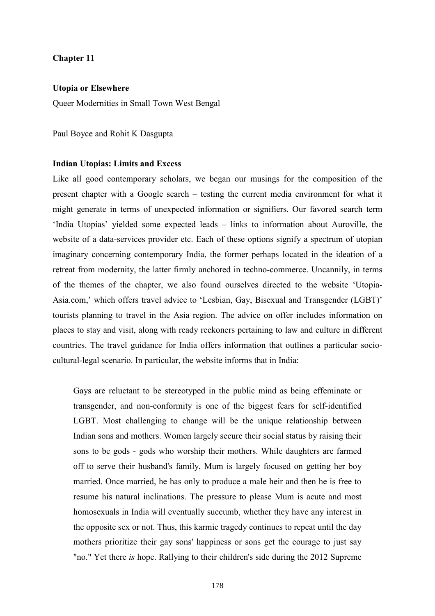# **Chapter 11**

## **Utopia or Elsewhere**

Queer Modernities in Small Town West Bengal

Paul Boyce and Rohit K Dasgupta

#### **Indian Utopias: Limits and Excess**

Like all good contemporary scholars, we began our musings for the composition of the present chapter with a Google search – testing the current media environment for what it might generate in terms of unexpected information or signifiers. Our favored search term 'India Utopias' yielded some expected leads – links to information about Auroville, the website of a data-services provider etc. Each of these options signify a spectrum of utopian imaginary concerning contemporary India, the former perhaps located in the ideation of a retreat from modernity, the latter firmly anchored in techno-commerce. Uncannily, in terms of the themes of the chapter, we also found ourselves directed to the website 'Utopia-Asia.com,' which offers travel advice to 'Lesbian, Gay, Bisexual and Transgender (LGBT)' tourists planning to travel in the Asia region. The advice on offer includes information on places to stay and visit, along with ready reckoners pertaining to law and culture in different countries. The travel guidance for India offers information that outlines a particular sociocultural-legal scenario. In particular, the website informs that in India:

Gays are reluctant to be stereotyped in the public mind as being effeminate or transgender, and non-conformity is one of the biggest fears for self-identified LGBT. Most challenging to change will be the unique relationship between Indian sons and mothers. Women largely secure their social status by raising their sons to be gods - gods who worship their mothers. While daughters are farmed off to serve their husband's family, Mum is largely focused on getting her boy married. Once married, he has only to produce a male heir and then he is free to resume his natural inclinations. The pressure to please Mum is acute and most homosexuals in India will eventually succumb, whether they have any interest in the opposite sex or not. Thus, this karmic tragedy continues to repeat until the day mothers prioritize their gay sons' happiness or sons get the courage to just say "no." Yet there *is* hope. Rallying to their children's side during the 2012 Supreme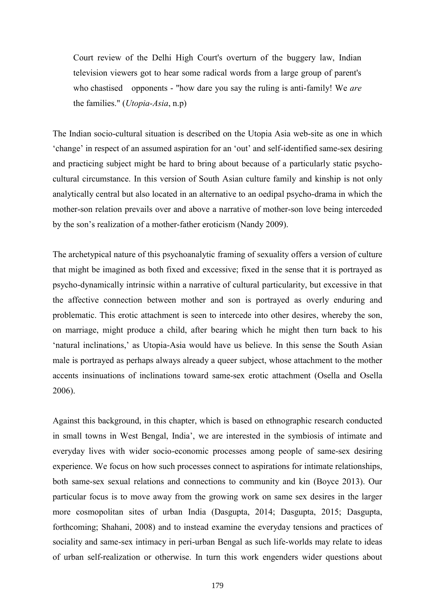Court review of the Delhi High Court's overturn of the buggery law, Indian television viewers got to hear some radical words from a large group of parent's who chastised opponents - "how dare you say the ruling is anti-family! We *are* the families." (*Utopia-Asia*, n.p)

The Indian socio-cultural situation is described on the Utopia Asia web-site as one in which 'change' in respect of an assumed aspiration for an 'out' and self-identified same-sex desiring and practicing subject might be hard to bring about because of a particularly static psychocultural circumstance. In this version of South Asian culture family and kinship is not only analytically central but also located in an alternative to an oedipal psycho-drama in which the mother-son relation prevails over and above a narrative of mother-son love being interceded by the son's realization of a mother-father eroticism (Nandy 2009).

The archetypical nature of this psychoanalytic framing of sexuality offers a version of culture that might be imagined as both fixed and excessive; fixed in the sense that it is portrayed as psycho-dynamically intrinsic within a narrative of cultural particularity, but excessive in that the affective connection between mother and son is portrayed as overly enduring and problematic. This erotic attachment is seen to intercede into other desires, whereby the son, on marriage, might produce a child, after bearing which he might then turn back to his 'natural inclinations,' as Utopia-Asia would have us believe. In this sense the South Asian male is portrayed as perhaps always already a queer subject, whose attachment to the mother accents insinuations of inclinations toward same-sex erotic attachment (Osella and Osella 2006).

Against this background, in this chapter, which is based on ethnographic research conducted in small towns in West Bengal, India', we are interested in the symbiosis of intimate and everyday lives with wider socio-economic processes among people of same-sex desiring experience. We focus on how such processes connect to aspirations for intimate relationships, both same-sex sexual relations and connections to community and kin (Boyce 2013). Our particular focus is to move away from the growing work on same sex desires in the larger more cosmopolitan sites of urban India (Dasgupta, 2014; Dasgupta, 2015; Dasgupta, forthcoming; Shahani, 2008) and to instead examine the everyday tensions and practices of sociality and same-sex intimacy in peri-urban Bengal as such life-worlds may relate to ideas of urban self-realization or otherwise. In turn this work engenders wider questions about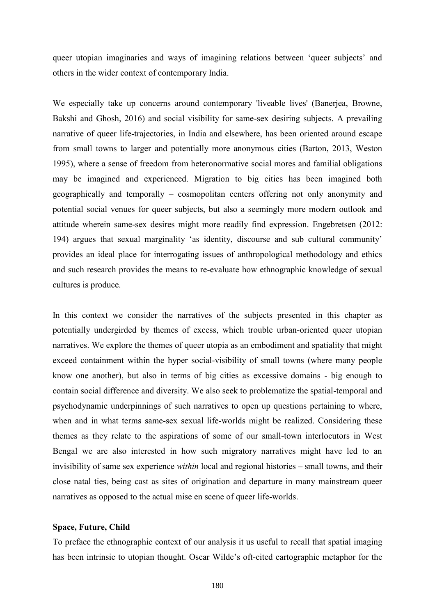queer utopian imaginaries and ways of imagining relations between 'queer subjects' and others in the wider context of contemporary India.

We especially take up concerns around contemporary 'liveable lives' (Banerjea, Browne, Bakshi and Ghosh, 2016) and social visibility for same-sex desiring subjects. A prevailing narrative of queer life-trajectories, in India and elsewhere, has been oriented around escape from small towns to larger and potentially more anonymous cities (Barton, 2013, Weston 1995), where a sense of freedom from heteronormative social mores and familial obligations may be imagined and experienced. Migration to big cities has been imagined both geographically and temporally – cosmopolitan centers offering not only anonymity and potential social venues for queer subjects, but also a seemingly more modern outlook and attitude wherein same-sex desires might more readily find expression. Engebretsen (2012: 194) argues that sexual marginality 'as identity, discourse and sub cultural community' provides an ideal place for interrogating issues of anthropological methodology and ethics and such research provides the means to re-evaluate how ethnographic knowledge of sexual cultures is produce.

In this context we consider the narratives of the subjects presented in this chapter as potentially undergirded by themes of excess, which trouble urban-oriented queer utopian narratives. We explore the themes of queer utopia as an embodiment and spatiality that might exceed containment within the hyper social-visibility of small towns (where many people know one another), but also in terms of big cities as excessive domains - big enough to contain social difference and diversity. We also seek to problematize the spatial-temporal and psychodynamic underpinnings of such narratives to open up questions pertaining to where, when and in what terms same-sex sexual life-worlds might be realized. Considering these themes as they relate to the aspirations of some of our small-town interlocutors in West Bengal we are also interested in how such migratory narratives might have led to an invisibility of same sex experience *within* local and regional histories – small towns, and their close natal ties, being cast as sites of origination and departure in many mainstream queer narratives as opposed to the actual mise en scene of queer life-worlds.

## **Space, Future, Child**

To preface the ethnographic context of our analysis it us useful to recall that spatial imaging has been intrinsic to utopian thought. Oscar Wilde's oft-cited cartographic metaphor for the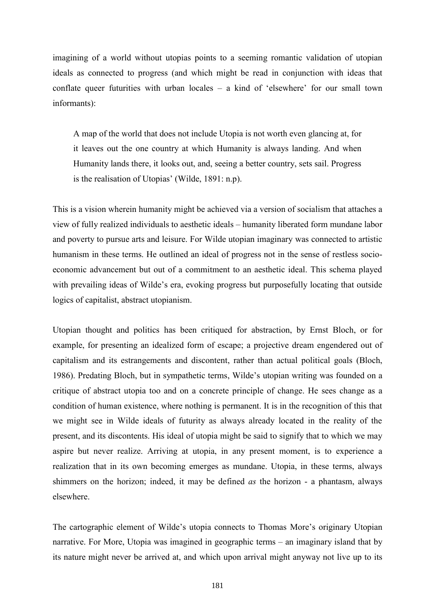imagining of a world without utopias points to a seeming romantic validation of utopian ideals as connected to progress (and which might be read in conjunction with ideas that conflate queer futurities with urban locales – a kind of 'elsewhere' for our small town informants):

A map of the world that does not include Utopia is not worth even glancing at, for it leaves out the one country at which Humanity is always landing. And when Humanity lands there, it looks out, and, seeing a better country, sets sail. Progress is the realisation of Utopias' (Wilde, 1891: n.p).

This is a vision wherein humanity might be achieved via a version of socialism that attaches a view of fully realized individuals to aesthetic ideals – humanity liberated form mundane labor and poverty to pursue arts and leisure. For Wilde utopian imaginary was connected to artistic humanism in these terms. He outlined an ideal of progress not in the sense of restless socioeconomic advancement but out of a commitment to an aesthetic ideal. This schema played with prevailing ideas of Wilde's era, evoking progress but purposefully locating that outside logics of capitalist, abstract utopianism.

Utopian thought and politics has been critiqued for abstraction, by Ernst Bloch, or for example, for presenting an idealized form of escape; a projective dream engendered out of capitalism and its estrangements and discontent, rather than actual political goals (Bloch, 1986). Predating Bloch, but in sympathetic terms, Wilde's utopian writing was founded on a critique of abstract utopia too and on a concrete principle of change. He sees change as a condition of human existence, where nothing is permanent. It is in the recognition of this that we might see in Wilde ideals of futurity as always already located in the reality of the present, and its discontents. His ideal of utopia might be said to signify that to which we may aspire but never realize. Arriving at utopia, in any present moment, is to experience a realization that in its own becoming emerges as mundane. Utopia, in these terms, always shimmers on the horizon; indeed, it may be defined *as* the horizon - a phantasm, always elsewhere.

The cartographic element of Wilde's utopia connects to Thomas More's originary Utopian narrative. For More, Utopia was imagined in geographic terms – an imaginary island that by its nature might never be arrived at, and which upon arrival might anyway not live up to its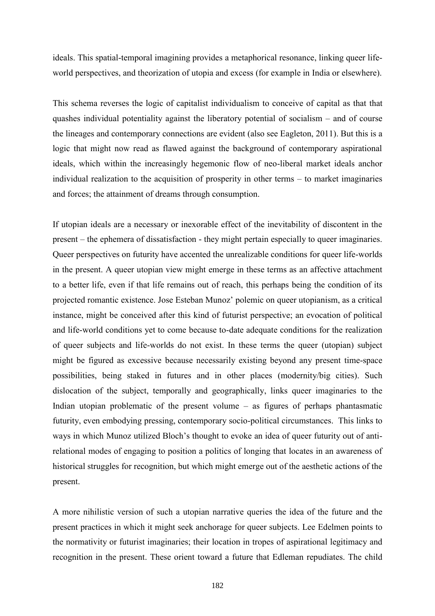ideals. This spatial-temporal imagining provides a metaphorical resonance, linking queer lifeworld perspectives, and theorization of utopia and excess (for example in India or elsewhere).

This schema reverses the logic of capitalist individualism to conceive of capital as that that quashes individual potentiality against the liberatory potential of socialism – and of course the lineages and contemporary connections are evident (also see Eagleton, 2011). But this is a logic that might now read as flawed against the background of contemporary aspirational ideals, which within the increasingly hegemonic flow of neo-liberal market ideals anchor individual realization to the acquisition of prosperity in other terms – to market imaginaries and forces; the attainment of dreams through consumption.

If utopian ideals are a necessary or inexorable effect of the inevitability of discontent in the present – the ephemera of dissatisfaction - they might pertain especially to queer imaginaries. Queer perspectives on futurity have accented the unrealizable conditions for queer life-worlds in the present. A queer utopian view might emerge in these terms as an affective attachment to a better life, even if that life remains out of reach, this perhaps being the condition of its projected romantic existence. Jose Esteban Munoz' polemic on queer utopianism, as a critical instance, might be conceived after this kind of futurist perspective; an evocation of political and life-world conditions yet to come because to-date adequate conditions for the realization of queer subjects and life-worlds do not exist. In these terms the queer (utopian) subject might be figured as excessive because necessarily existing beyond any present time-space possibilities, being staked in futures and in other places (modernity/big cities). Such dislocation of the subject, temporally and geographically, links queer imaginaries to the Indian utopian problematic of the present volume – as figures of perhaps phantasmatic futurity, even embodying pressing, contemporary socio-political circumstances. This links to ways in which Munoz utilized Bloch's thought to evoke an idea of queer futurity out of antirelational modes of engaging to position a politics of longing that locates in an awareness of historical struggles for recognition, but which might emerge out of the aesthetic actions of the present.

A more nihilistic version of such a utopian narrative queries the idea of the future and the present practices in which it might seek anchorage for queer subjects. Lee Edelmen points to the normativity or futurist imaginaries; their location in tropes of aspirational legitimacy and recognition in the present. These orient toward a future that Edleman repudiates. The child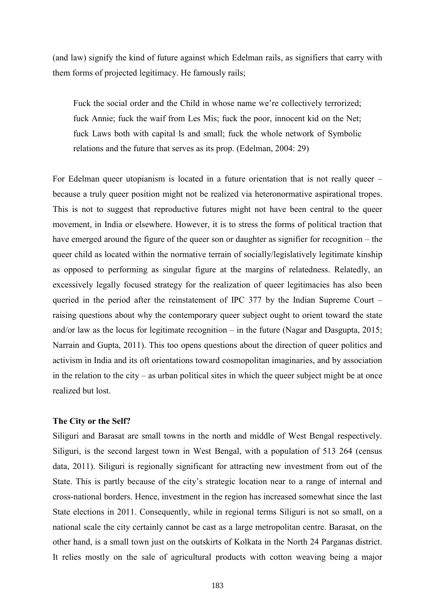(and law) signify the kind of future against which Edelman rails, as signifiers that carry with them forms of projected legitimacy. He famously rails;

Fuck the social order and the Child in whose name we're collectively terrorized; fuck Annie; fuck the waif from Les Mis; fuck the poor, innocent kid on the Net; fuck Laws both with capital ls and small; fuck the whole network of Symbolic relations and the future that serves as its prop. (Edelman, 2004: 29)

For Edelman queer utopianism is located in a future orientation that is not really queer – because a truly queer position might not be realized via heteronormative aspirational tropes. This is not to suggest that reproductive futures might not have been central to the queer movement, in India or elsewhere. However, it is to stress the forms of political traction that have emerged around the figure of the queer son or daughter as signifier for recognition – the queer child as located within the normative terrain of socially/legislatively legitimate kinship as opposed to performing as singular figure at the margins of relatedness. Relatedly, an excessively legally focused strategy for the realization of queer legitimacies has also been queried in the period after the reinstatement of IPC 377 by the Indian Supreme Court – raising questions about why the contemporary queer subject ought to orient toward the state and/or law as the locus for legitimate recognition – in the future (Nagar and Dasgupta, 2015; Narrain and Gupta, 2011). This too opens questions about the direction of queer politics and activism in India and its oft orientations toward cosmopolitan imaginaries, and by association in the relation to the city – as urban political sites in which the queer subject might be at once realized but lost.

## **The City or the Self?**

Siliguri and Barasat are small towns in the north and middle of West Bengal respectively. Siliguri, is the second largest town in West Bengal, with a population of 513 264 (census data, 2011). Siliguri is regionally significant for attracting new investment from out of the State. This is partly because of the city's strategic location near to a range of internal and cross-national borders. Hence, investment in the region has increased somewhat since the last State elections in 2011. Consequently, while in regional terms Siliguri is not so small, on a national scale the city certainly cannot be cast as a large metropolitan centre. Barasat, on the other hand, is a small town just on the outskirts of Kolkata in the North 24 Parganas district. It relies mostly on the sale of agricultural products with cotton weaving being a major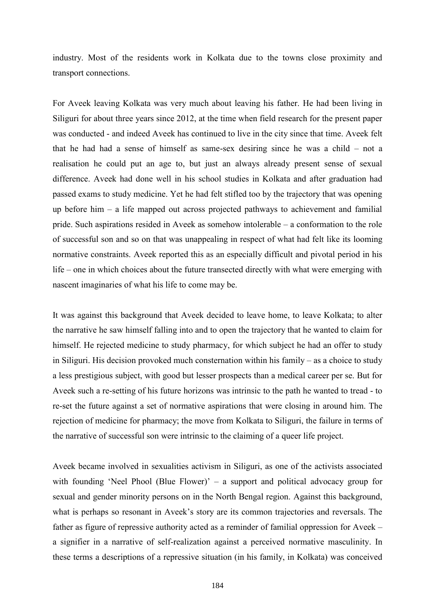industry. Most of the residents work in Kolkata due to the towns close proximity and transport connections.

For Aveek leaving Kolkata was very much about leaving his father. He had been living in Siliguri for about three years since 2012, at the time when field research for the present paper was conducted - and indeed Aveek has continued to live in the city since that time. Aveek felt that he had had a sense of himself as same-sex desiring since he was a child – not a realisation he could put an age to, but just an always already present sense of sexual difference. Aveek had done well in his school studies in Kolkata and after graduation had passed exams to study medicine. Yet he had felt stifled too by the trajectory that was opening up before him – a life mapped out across projected pathways to achievement and familial pride. Such aspirations resided in Aveek as somehow intolerable – a conformation to the role of successful son and so on that was unappealing in respect of what had felt like its looming normative constraints. Aveek reported this as an especially difficult and pivotal period in his life – one in which choices about the future transected directly with what were emerging with nascent imaginaries of what his life to come may be.

It was against this background that Aveek decided to leave home, to leave Kolkata; to alter the narrative he saw himself falling into and to open the trajectory that he wanted to claim for himself. He rejected medicine to study pharmacy, for which subject he had an offer to study in Siliguri. His decision provoked much consternation within his family – as a choice to study a less prestigious subject, with good but lesser prospects than a medical career per se. But for Aveek such a re-setting of his future horizons was intrinsic to the path he wanted to tread - to re-set the future against a set of normative aspirations that were closing in around him. The rejection of medicine for pharmacy; the move from Kolkata to Siliguri, the failure in terms of the narrative of successful son were intrinsic to the claiming of a queer life project.

Aveek became involved in sexualities activism in Siliguri, as one of the activists associated with founding 'Neel Phool (Blue Flower)' – a support and political advocacy group for sexual and gender minority persons on in the North Bengal region. Against this background, what is perhaps so resonant in Aveek's story are its common trajectories and reversals. The father as figure of repressive authority acted as a reminder of familial oppression for Aveek – a signifier in a narrative of self-realization against a perceived normative masculinity. In these terms a descriptions of a repressive situation (in his family, in Kolkata) was conceived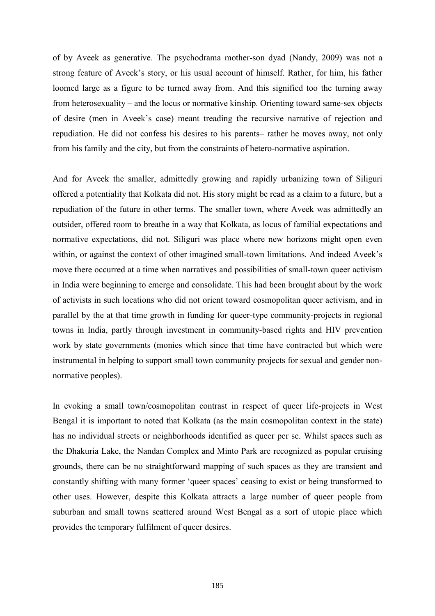of by Aveek as generative. The psychodrama mother-son dyad (Nandy, 2009) was not a strong feature of Aveek's story, or his usual account of himself. Rather, for him, his father loomed large as a figure to be turned away from. And this signified too the turning away from heterosexuality – and the locus or normative kinship. Orienting toward same-sex objects of desire (men in Aveek's case) meant treading the recursive narrative of rejection and repudiation. He did not confess his desires to his parents– rather he moves away, not only from his family and the city, but from the constraints of hetero-normative aspiration.

And for Aveek the smaller, admittedly growing and rapidly urbanizing town of Siliguri offered a potentiality that Kolkata did not. His story might be read as a claim to a future, but a repudiation of the future in other terms. The smaller town, where Aveek was admittedly an outsider, offered room to breathe in a way that Kolkata, as locus of familial expectations and normative expectations, did not. Siliguri was place where new horizons might open even within, or against the context of other imagined small-town limitations. And indeed Aveek's move there occurred at a time when narratives and possibilities of small-town queer activism in India were beginning to emerge and consolidate. This had been brought about by the work of activists in such locations who did not orient toward cosmopolitan queer activism, and in parallel by the at that time growth in funding for queer-type community-projects in regional towns in India, partly through investment in community-based rights and HIV prevention work by state governments (monies which since that time have contracted but which were instrumental in helping to support small town community projects for sexual and gender nonnormative peoples).

In evoking a small town/cosmopolitan contrast in respect of queer life-projects in West Bengal it is important to noted that Kolkata (as the main cosmopolitan context in the state) has no individual streets or neighborhoods identified as queer per se. Whilst spaces such as the Dhakuria Lake, the Nandan Complex and Minto Park are recognized as popular cruising grounds, there can be no straightforward mapping of such spaces as they are transient and constantly shifting with many former 'queer spaces' ceasing to exist or being transformed to other uses. However, despite this Kolkata attracts a large number of queer people from suburban and small towns scattered around West Bengal as a sort of utopic place which provides the temporary fulfilment of queer desires.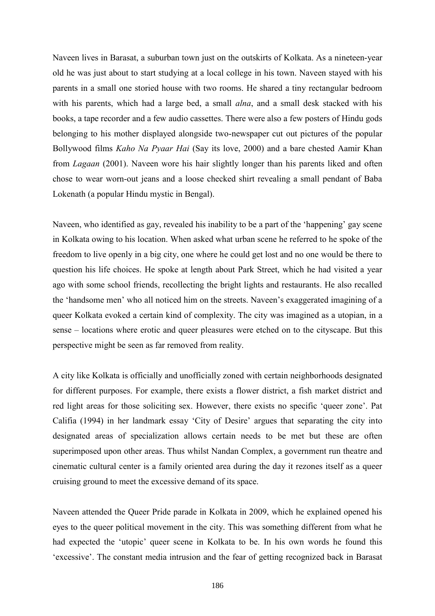Naveen lives in Barasat, a suburban town just on the outskirts of Kolkata. As a nineteen-year old he was just about to start studying at a local college in his town. Naveen stayed with his parents in a small one storied house with two rooms. He shared a tiny rectangular bedroom with his parents, which had a large bed, a small *alna*, and a small desk stacked with his books, a tape recorder and a few audio cassettes. There were also a few posters of Hindu gods belonging to his mother displayed alongside two-newspaper cut out pictures of the popular Bollywood films *Kaho Na Pyaar Hai* (Say its love, 2000) and a bare chested Aamir Khan from *Lagaan* (2001). Naveen wore his hair slightly longer than his parents liked and often chose to wear worn-out jeans and a loose checked shirt revealing a small pendant of Baba Lokenath (a popular Hindu mystic in Bengal).

Naveen, who identified as gay, revealed his inability to be a part of the 'happening' gay scene in Kolkata owing to his location. When asked what urban scene he referred to he spoke of the freedom to live openly in a big city, one where he could get lost and no one would be there to question his life choices. He spoke at length about Park Street, which he had visited a year ago with some school friends, recollecting the bright lights and restaurants. He also recalled the 'handsome men' who all noticed him on the streets. Naveen's exaggerated imagining of a queer Kolkata evoked a certain kind of complexity. The city was imagined as a utopian, in a sense – locations where erotic and queer pleasures were etched on to the cityscape. But this perspective might be seen as far removed from reality.

A city like Kolkata is officially and unofficially zoned with certain neighborhoods designated for different purposes. For example, there exists a flower district, a fish market district and red light areas for those soliciting sex. However, there exists no specific 'queer zone'. Pat Califia (1994) in her landmark essay 'City of Desire' argues that separating the city into designated areas of specialization allows certain needs to be met but these are often superimposed upon other areas. Thus whilst Nandan Complex, a government run theatre and cinematic cultural center is a family oriented area during the day it rezones itself as a queer cruising ground to meet the excessive demand of its space.

Naveen attended the Queer Pride parade in Kolkata in 2009, which he explained opened his eyes to the queer political movement in the city. This was something different from what he had expected the 'utopic' queer scene in Kolkata to be. In his own words he found this 'excessive'. The constant media intrusion and the fear of getting recognized back in Barasat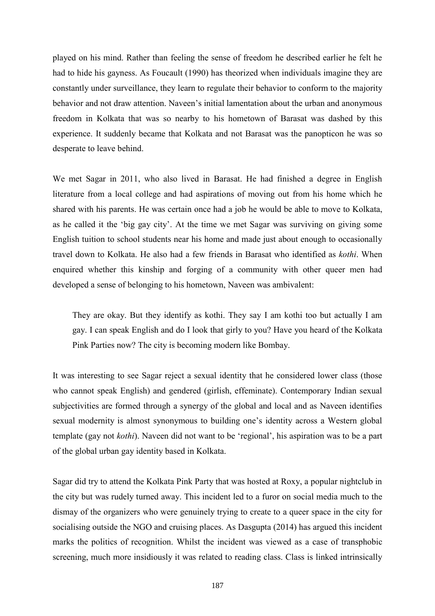played on his mind. Rather than feeling the sense of freedom he described earlier he felt he had to hide his gayness. As Foucault (1990) has theorized when individuals imagine they are constantly under surveillance, they learn to regulate their behavior to conform to the majority behavior and not draw attention. Naveen's initial lamentation about the urban and anonymous freedom in Kolkata that was so nearby to his hometown of Barasat was dashed by this experience. It suddenly became that Kolkata and not Barasat was the panopticon he was so desperate to leave behind.

We met Sagar in 2011, who also lived in Barasat. He had finished a degree in English literature from a local college and had aspirations of moving out from his home which he shared with his parents. He was certain once had a job he would be able to move to Kolkata, as he called it the 'big gay city'. At the time we met Sagar was surviving on giving some English tuition to school students near his home and made just about enough to occasionally travel down to Kolkata. He also had a few friends in Barasat who identified as *kothi*. When enquired whether this kinship and forging of a community with other queer men had developed a sense of belonging to his hometown, Naveen was ambivalent:

They are okay. But they identify as kothi. They say I am kothi too but actually I am gay. I can speak English and do I look that girly to you? Have you heard of the Kolkata Pink Parties now? The city is becoming modern like Bombay.

It was interesting to see Sagar reject a sexual identity that he considered lower class (those who cannot speak English) and gendered (girlish, effeminate). Contemporary Indian sexual subjectivities are formed through a synergy of the global and local and as Naveen identifies sexual modernity is almost synonymous to building one's identity across a Western global template (gay not *kothi*). Naveen did not want to be 'regional', his aspiration was to be a part of the global urban gay identity based in Kolkata.

Sagar did try to attend the Kolkata Pink Party that was hosted at Roxy, a popular nightclub in the city but was rudely turned away. This incident led to a furor on social media much to the dismay of the organizers who were genuinely trying to create to a queer space in the city for socialising outside the NGO and cruising places. As Dasgupta (2014) has argued this incident marks the politics of recognition. Whilst the incident was viewed as a case of transphobic screening, much more insidiously it was related to reading class. Class is linked intrinsically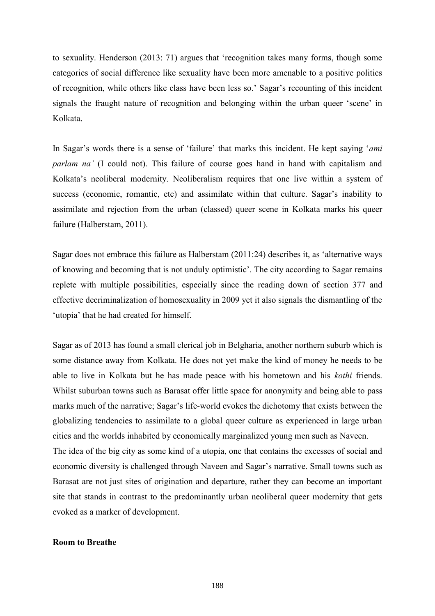to sexuality. Henderson (2013: 71) argues that 'recognition takes many forms, though some categories of social difference like sexuality have been more amenable to a positive politics of recognition, while others like class have been less so.' Sagar's recounting of this incident signals the fraught nature of recognition and belonging within the urban queer 'scene' in Kolkata.

In Sagar's words there is a sense of 'failure' that marks this incident. He kept saying '*ami parlam na'* (I could not). This failure of course goes hand in hand with capitalism and Kolkata's neoliberal modernity. Neoliberalism requires that one live within a system of success (economic, romantic, etc) and assimilate within that culture. Sagar's inability to assimilate and rejection from the urban (classed) queer scene in Kolkata marks his queer failure (Halberstam, 2011).

Sagar does not embrace this failure as Halberstam (2011:24) describes it, as 'alternative ways of knowing and becoming that is not unduly optimistic'. The city according to Sagar remains replete with multiple possibilities, especially since the reading down of section 377 and effective decriminalization of homosexuality in 2009 yet it also signals the dismantling of the 'utopia' that he had created for himself.

Sagar as of 2013 has found a small clerical job in Belgharia, another northern suburb which is some distance away from Kolkata. He does not yet make the kind of money he needs to be able to live in Kolkata but he has made peace with his hometown and his *kothi* friends. Whilst suburban towns such as Barasat offer little space for anonymity and being able to pass marks much of the narrative; Sagar's life-world evokes the dichotomy that exists between the globalizing tendencies to assimilate to a global queer culture as experienced in large urban cities and the worlds inhabited by economically marginalized young men such as Naveen.

The idea of the big city as some kind of a utopia, one that contains the excesses of social and economic diversity is challenged through Naveen and Sagar's narrative. Small towns such as Barasat are not just sites of origination and departure, rather they can become an important site that stands in contrast to the predominantly urban neoliberal queer modernity that gets evoked as a marker of development.

## **Room to Breathe**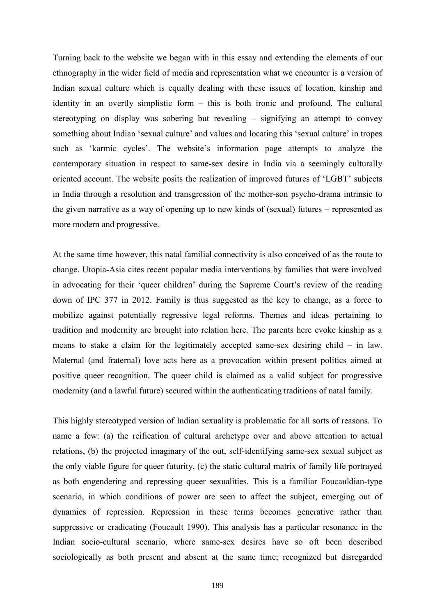Turning back to the website we began with in this essay and extending the elements of our ethnography in the wider field of media and representation what we encounter is a version of Indian sexual culture which is equally dealing with these issues of location, kinship and identity in an overtly simplistic form – this is both ironic and profound. The cultural stereotyping on display was sobering but revealing – signifying an attempt to convey something about Indian 'sexual culture' and values and locating this 'sexual culture' in tropes such as 'karmic cycles'. The website's information page attempts to analyze the contemporary situation in respect to same-sex desire in India via a seemingly culturally oriented account. The website posits the realization of improved futures of 'LGBT' subjects in India through a resolution and transgression of the mother-son psycho-drama intrinsic to the given narrative as a way of opening up to new kinds of (sexual) futures – represented as more modern and progressive.

At the same time however, this natal familial connectivity is also conceived of as the route to change. Utopia-Asia cites recent popular media interventions by families that were involved in advocating for their 'queer children' during the Supreme Court's review of the reading down of IPC 377 in 2012. Family is thus suggested as the key to change, as a force to mobilize against potentially regressive legal reforms. Themes and ideas pertaining to tradition and modernity are brought into relation here. The parents here evoke kinship as a means to stake a claim for the legitimately accepted same-sex desiring child – in law. Maternal (and fraternal) love acts here as a provocation within present politics aimed at positive queer recognition. The queer child is claimed as a valid subject for progressive modernity (and a lawful future) secured within the authenticating traditions of natal family.

This highly stereotyped version of Indian sexuality is problematic for all sorts of reasons. To name a few: (a) the reification of cultural archetype over and above attention to actual relations, (b) the projected imaginary of the out, self-identifying same-sex sexual subject as the only viable figure for queer futurity, (c) the static cultural matrix of family life portrayed as both engendering and repressing queer sexualities. This is a familiar Foucauldian-type scenario, in which conditions of power are seen to affect the subject, emerging out of dynamics of repression. Repression in these terms becomes generative rather than suppressive or eradicating (Foucault 1990). This analysis has a particular resonance in the Indian socio-cultural scenario, where same-sex desires have so oft been described sociologically as both present and absent at the same time; recognized but disregarded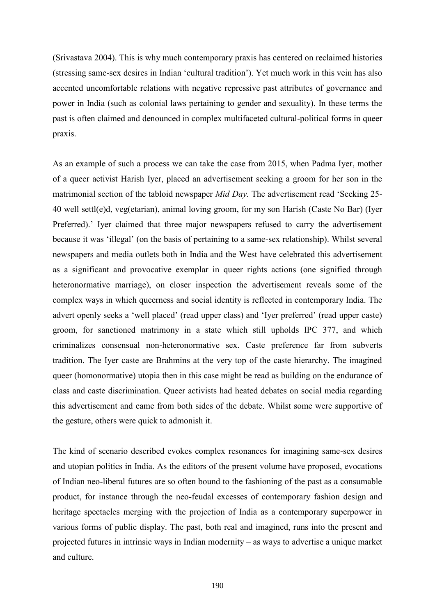(Srivastava 2004). This is why much contemporary praxis has centered on reclaimed histories (stressing same-sex desires in Indian 'cultural tradition'). Yet much work in this vein has also accented uncomfortable relations with negative repressive past attributes of governance and power in India (such as colonial laws pertaining to gender and sexuality). In these terms the past is often claimed and denounced in complex multifaceted cultural-political forms in queer praxis.

As an example of such a process we can take the case from 2015, when Padma Iyer, mother of a queer activist Harish Iyer, placed an advertisement seeking a groom for her son in the matrimonial section of the tabloid newspaper *Mid Day.* The advertisement read 'Seeking 25- 40 well settl(e)d, veg(etarian), animal loving groom, for my son Harish (Caste No Bar) (Iyer Preferred).' Iyer claimed that three major newspapers refused to carry the advertisement because it was 'illegal' (on the basis of pertaining to a same-sex relationship). Whilst several newspapers and media outlets both in India and the West have celebrated this advertisement as a significant and provocative exemplar in queer rights actions (one signified through heteronormative marriage), on closer inspection the advertisement reveals some of the complex ways in which queerness and social identity is reflected in contemporary India. The advert openly seeks a 'well placed' (read upper class) and 'Iyer preferred' (read upper caste) groom, for sanctioned matrimony in a state which still upholds IPC 377, and which criminalizes consensual non-heteronormative sex. Caste preference far from subverts tradition. The Iyer caste are Brahmins at the very top of the caste hierarchy. The imagined queer (homonormative) utopia then in this case might be read as building on the endurance of class and caste discrimination. Queer activists had heated debates on social media regarding this advertisement and came from both sides of the debate. Whilst some were supportive of the gesture, others were quick to admonish it.

The kind of scenario described evokes complex resonances for imagining same-sex desires and utopian politics in India. As the editors of the present volume have proposed, evocations of Indian neo-liberal futures are so often bound to the fashioning of the past as a consumable product, for instance through the neo-feudal excesses of contemporary fashion design and heritage spectacles merging with the projection of India as a contemporary superpower in various forms of public display. The past, both real and imagined, runs into the present and projected futures in intrinsic ways in Indian modernity – as ways to advertise a unique market and culture.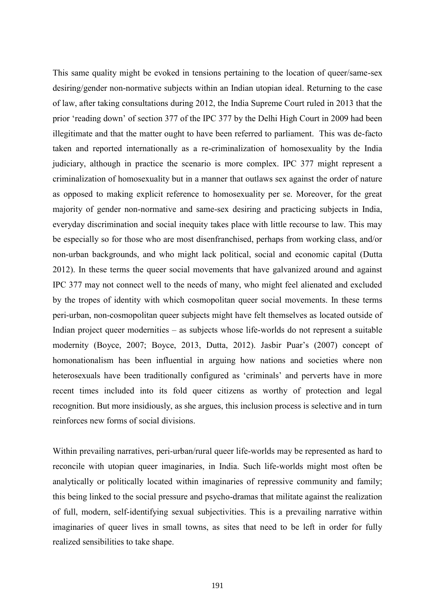This same quality might be evoked in tensions pertaining to the location of queer/same-sex desiring/gender non-normative subjects within an Indian utopian ideal. Returning to the case of law, after taking consultations during 2012, the India Supreme Court ruled in 2013 that the prior 'reading down' of section 377 of the IPC 377 by the Delhi High Court in 2009 had been illegitimate and that the matter ought to have been referred to parliament. This was de-facto taken and reported internationally as a re-criminalization of homosexuality by the India judiciary, although in practice the scenario is more complex. IPC 377 might represent a criminalization of homosexuality but in a manner that outlaws sex against the order of nature as opposed to making explicit reference to homosexuality per se. Moreover, for the great majority of gender non-normative and same-sex desiring and practicing subjects in India, everyday discrimination and social inequity takes place with little recourse to law. This may be especially so for those who are most disenfranchised, perhaps from working class, and/or non-urban backgrounds, and who might lack political, social and economic capital (Dutta 2012). In these terms the queer social movements that have galvanized around and against IPC 377 may not connect well to the needs of many, who might feel alienated and excluded by the tropes of identity with which cosmopolitan queer social movements. In these terms peri-urban, non-cosmopolitan queer subjects might have felt themselves as located outside of Indian project queer modernities – as subjects whose life-worlds do not represent a suitable modernity (Boyce, 2007; Boyce, 2013, Dutta, 2012). Jasbir Puar's (2007) concept of homonationalism has been influential in arguing how nations and societies where non heterosexuals have been traditionally configured as 'criminals' and perverts have in more recent times included into its fold queer citizens as worthy of protection and legal recognition. But more insidiously, as she argues, this inclusion process is selective and in turn reinforces new forms of social divisions.

Within prevailing narratives, peri-urban/rural queer life-worlds may be represented as hard to reconcile with utopian queer imaginaries, in India. Such life-worlds might most often be analytically or politically located within imaginaries of repressive community and family; this being linked to the social pressure and psycho-dramas that militate against the realization of full, modern, self-identifying sexual subjectivities. This is a prevailing narrative within imaginaries of queer lives in small towns, as sites that need to be left in order for fully realized sensibilities to take shape.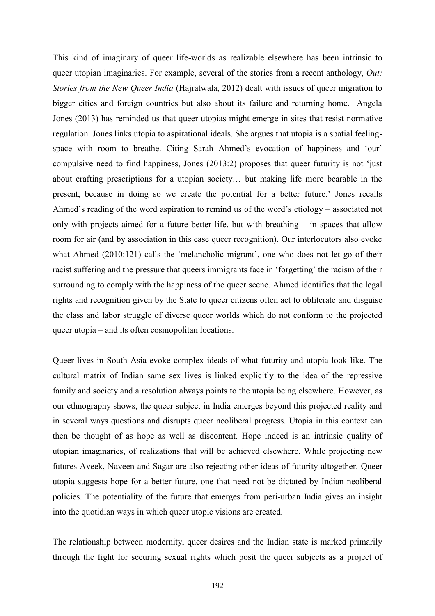This kind of imaginary of queer life-worlds as realizable elsewhere has been intrinsic to queer utopian imaginaries. For example, several of the stories from a recent anthology, *Out: Stories from the New Queer India* (Hajratwala, 2012) dealt with issues of queer migration to bigger cities and foreign countries but also about its failure and returning home. Angela Jones (2013) has reminded us that queer utopias might emerge in sites that resist normative regulation. Jones links utopia to aspirational ideals. She argues that utopia is a spatial feelingspace with room to breathe. Citing Sarah Ahmed's evocation of happiness and 'our' compulsive need to find happiness, Jones (2013:2) proposes that queer futurity is not 'just about crafting prescriptions for a utopian society… but making life more bearable in the present, because in doing so we create the potential for a better future.' Jones recalls Ahmed's reading of the word aspiration to remind us of the word's etiology – associated not only with projects aimed for a future better life, but with breathing – in spaces that allow room for air (and by association in this case queer recognition). Our interlocutors also evoke what Ahmed (2010:121) calls the 'melancholic migrant', one who does not let go of their racist suffering and the pressure that queers immigrants face in 'forgetting' the racism of their surrounding to comply with the happiness of the queer scene. Ahmed identifies that the legal rights and recognition given by the State to queer citizens often act to obliterate and disguise the class and labor struggle of diverse queer worlds which do not conform to the projected queer utopia – and its often cosmopolitan locations.

Queer lives in South Asia evoke complex ideals of what futurity and utopia look like. The cultural matrix of Indian same sex lives is linked explicitly to the idea of the repressive family and society and a resolution always points to the utopia being elsewhere. However, as our ethnography shows, the queer subject in India emerges beyond this projected reality and in several ways questions and disrupts queer neoliberal progress. Utopia in this context can then be thought of as hope as well as discontent. Hope indeed is an intrinsic quality of utopian imaginaries, of realizations that will be achieved elsewhere. While projecting new futures Aveek, Naveen and Sagar are also rejecting other ideas of futurity altogether. Queer utopia suggests hope for a better future, one that need not be dictated by Indian neoliberal policies. The potentiality of the future that emerges from peri-urban India gives an insight into the quotidian ways in which queer utopic visions are created.

The relationship between modernity, queer desires and the Indian state is marked primarily through the fight for securing sexual rights which posit the queer subjects as a project of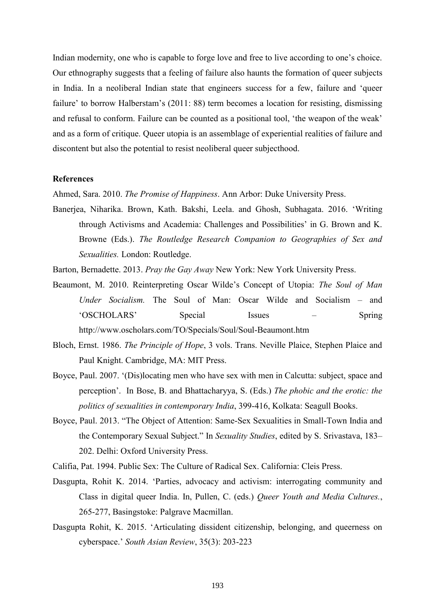Indian modernity, one who is capable to forge love and free to live according to one's choice. Our ethnography suggests that a feeling of failure also haunts the formation of queer subjects in India. In a neoliberal Indian state that engineers success for a few, failure and 'queer failure' to borrow Halberstam's (2011: 88) term becomes a location for resisting, dismissing and refusal to conform. Failure can be counted as a positional tool, 'the weapon of the weak' and as a form of critique. Queer utopia is an assemblage of experiential realities of failure and discontent but also the potential to resist neoliberal queer subjecthood.

# **References**

Ahmed, Sara. 2010. *The Promise of Happiness*. Ann Arbor: Duke University Press.

Banerjea, Niharika. Brown, Kath. Bakshi, Leela. and Ghosh, Subhagata. 2016. 'Writing through Activisms and Academia: Challenges and Possibilities' in G. Brown and K. Browne (Eds.). *The Routledge Research Companion to Geographies of Sex and Sexualities.* London: Routledge.

Barton, Bernadette. 2013. *Pray the Gay Away* New York: New York University Press.

- Beaumont, M. 2010. Reinterpreting Oscar Wilde's Concept of Utopia: *The Soul of Man Under Socialism.* The Soul of Man: Oscar Wilde and Socialism – and 'OSCHOLARS' Special Issues – Spring http://www.oscholars.com/TO/Specials/Soul/Soul-Beaumont.htm
- Bloch, Ernst. 1986. *The Principle of Hope*, 3 vols. Trans. Neville Plaice, Stephen Plaice and Paul Knight. Cambridge, MA: MIT Press.
- Boyce, Paul. 2007. '(Dis)locating men who have sex with men in Calcutta: subject, space and perception'. In Bose, B. and Bhattacharyya, S. (Eds.) *The phobic and the erotic: the politics of sexualities in contemporary India*, 399-416, Kolkata: Seagull Books.
- Boyce, Paul. 2013. "The Object of Attention: Same-Sex Sexualities in Small-Town India and the Contemporary Sexual Subject." In *Sexuality Studies*, edited by S. Srivastava, 183– 202. Delhi: Oxford University Press.
- Califia, Pat. 1994. Public Sex: The Culture of Radical Sex. California: Cleis Press.
- Dasgupta, Rohit K. 2014. 'Parties, advocacy and activism: interrogating community and Class in digital queer India. In, Pullen, C. (eds.) *Queer Youth and Media Cultures.*, 265-277, Basingstoke: Palgrave Macmillan.
- Dasgupta Rohit, K. 2015. 'Articulating dissident citizenship, belonging, and queerness on cyberspace.' *South Asian Review*, 35(3): 203-223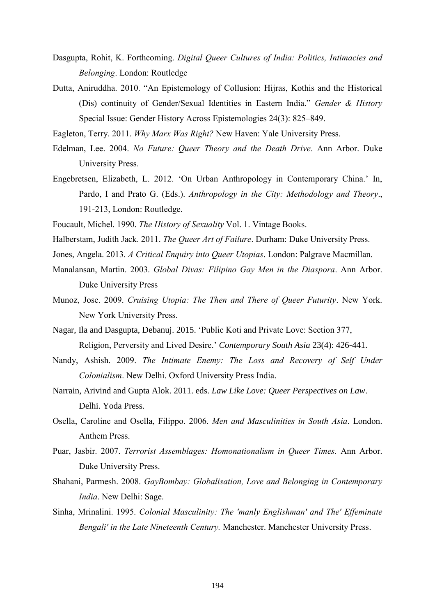- Dasgupta, Rohit, K. Forthcoming. *Digital Queer Cultures of India: Politics, Intimacies and Belonging*. London: Routledge
- Dutta, Aniruddha. 2010. "An Epistemology of Collusion: Hijras, Kothis and the Historical (Dis) continuity of Gender/Sexual Identities in Eastern India." *Gender & History* Special Issue: Gender History Across Epistemologies 24(3): 825–849.
- Eagleton, Terry. 2011. *Why Marx Was Right?* New Haven: Yale University Press.
- Edelman, Lee. 2004. *No Future: Queer Theory and the Death Drive*. Ann Arbor. Duke University Press.
- Engebretsen, Elizabeth, L. 2012. 'On Urban Anthropology in Contemporary China.' In, Pardo, I and Prato G. (Eds.). *Anthropology in the City: Methodology and Theory*., 191-213, London: Routledge.
- Foucault, Michel. 1990. *The History of Sexuality* Vol. 1. Vintage Books.
- Halberstam, Judith Jack. 2011. *The Queer Art of Failure*. Durham: Duke University Press.
- Jones, Angela. 2013. *A Critical Enquiry into Queer Utopias*. London: Palgrave Macmillan.
- Manalansan, Martin. 2003. *Global Divas: Filipino Gay Men in the Diaspora*. Ann Arbor. Duke University Press
- Munoz, Jose. 2009. *Cruising Utopia: The Then and There of Queer Futurity*. New York. New York University Press.
- Nagar, Ila and Dasgupta, Debanuj. 2015. 'Public Koti and Private Love: Section 377, Religion, Perversity and Lived Desire.' *Contemporary South Asia* 23(4): 426-441.
- Nandy, Ashish. 2009. *The Intimate Enemy: The Loss and Recovery of Self Under Colonialism*. New Delhi. Oxford University Press India.
- Narrain, Arivind and Gupta Alok. 2011. eds. *Law Like Love: Queer Perspectives on Law*. Delhi. Yoda Press.
- Osella, Caroline and Osella, Filippo. 2006. *Men and Masculinities in South Asia*. London. Anthem Press.
- Puar, Jasbir. 2007. *Terrorist Assemblages: Homonationalism in Queer Times.* Ann Arbor. Duke University Press.
- Shahani, Parmesh. 2008. *GayBombay: Globalisation, Love and Belonging in Contemporary India*. New Delhi: Sage.
- Sinha, Mrinalini. 1995. *Colonial Masculinity: The 'manly Englishman' and The' Effeminate Bengali' in the Late Nineteenth Century.* Manchester. Manchester University Press.